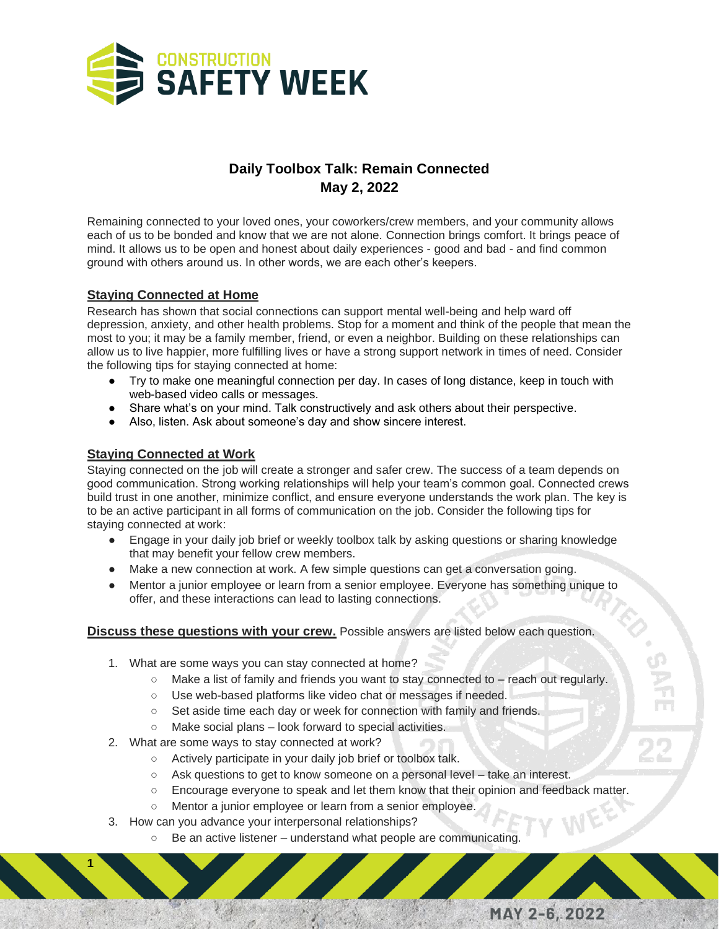

## **Daily Toolbox Talk: Remain Connected May 2, 2022**

Remaining connected to your loved ones, your coworkers/crew members, and your community allows each of us to be bonded and know that we are not alone. Connection brings comfort. It brings peace of mind. It allows us to be open and honest about daily experiences - good and bad - and find common ground with others around us. In other words, we are each other's keepers.

## **Staying Connected at Home**

Research has shown that social connections can support mental well-being and help ward off depression, anxiety, and other health problems. Stop for a moment and think of the people that mean the most to you; it may be a family member, friend, or even a neighbor. Building on these relationships can allow us to live happier, more fulfilling lives or have a strong support network in times of need. Consider the following tips for staying connected at home:

- Try to make one meaningful connection per day. In cases of long distance, keep in touch with web-based video calls or messages.
- Share what's on your mind. Talk constructively and ask others about their perspective.
- Also, listen. Ask about someone's day and show sincere interest.

## **Staying Connected at Work**

**1**

Staying connected on the job will create a stronger and safer crew. The success of a team depends on good communication. Strong working relationships will help your team's common goal. Connected crews build trust in one another, minimize conflict, and ensure everyone understands the work plan. The key is to be an active participant in all forms of communication on the job. Consider the following tips for staying connected at work:

- Engage in your daily job brief or weekly toolbox talk by asking questions or sharing knowledge that may benefit your fellow crew members.
- Make a new connection at work. A few simple questions can get a conversation going.
- Mentor a junior employee or learn from a senior employee. Everyone has something unique to offer, and these interactions can lead to lasting connections.

## **Discuss these questions with your crew.** Possible answers are listed below each question.

- 1. What are some ways you can stay connected at home?
	- $\circ$  Make a list of family and friends you want to stay connected to reach out regularly.

SAFE

פֿ

MAY 2-6, 2022

- Use web-based platforms like video chat or messages if needed.
- Set aside time each day or week for connection with family and friends.
- Make social plans look forward to special activities.
- 2. What are some ways to stay connected at work?
	- Actively participate in your daily job brief or toolbox talk.
	- Ask questions to get to know someone on a personal level take an interest.
	- Encourage everyone to speak and let them know that their opinion and feedback matter.
	- Mentor a junior employee or learn from a senior employee.
- 3. How can you advance your interpersonal relationships?
	- Be an active listener understand what people are communicating.